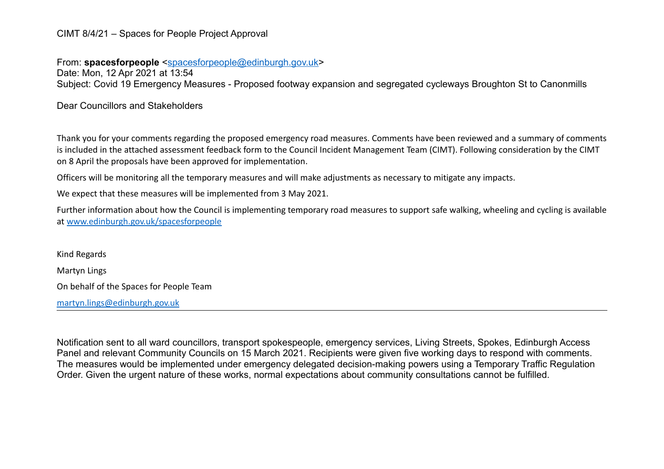## CIMT 8/4/21 – Spaces for People Project Approval

From: **spacesforpeople** [<spacesforpeople@edinburgh.gov.uk>](mailto:spacesforpeople@edinburgh.gov.uk)

Date: Mon, 12 Apr 2021 at 13:54 Subject: Covid 19 Emergency Measures - Proposed footway expansion and segregated cycleways Broughton St to Canonmills

Dear Councillors and Stakeholders

Thank you for your comments regarding the proposed emergency road measures. Comments have been reviewed and a summary of comments is included in the attached assessment feedback form to the Council Incident Management Team (CIMT). Following consideration by the CIMT on 8 April the proposals have been approved for implementation.

Officers will be monitoring all the temporary measures and will make adjustments as necessary to mitigate any impacts.

We expect that these measures will be implemented from 3 May 2021.

Further information about how the Council is implementing temporary road measures to support safe walking, wheeling and cycling is available at [www.edinburgh.gov.uk/spacesforpeople](http://www.edinburgh.gov.uk/spacesforpeople)

Kind Regards Martyn Lings On behalf of the Spaces for People Team [martyn.lings@edinburgh.gov.uk](mailto:martyn.lings@edinburgh.gov.uk)

Notification sent to all ward councillors, transport spokespeople, emergency services, Living Streets, Spokes, Edinburgh Access Panel and relevant Community Councils on 15 March 2021. Recipients were given five working days to respond with comments. The measures would be implemented under emergency delegated decision-making powers using a Temporary Traffic Regulation Order. Given the urgent nature of these works, normal expectations about community consultations cannot be fulfilled.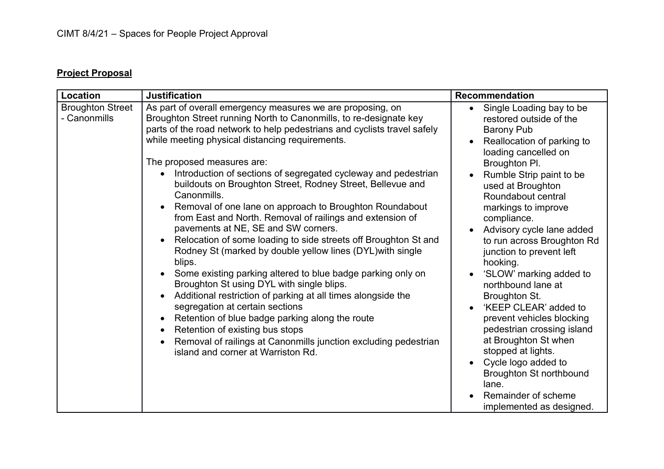## **Project Proposal**

| Location                                | <b>Justification</b>                                                                                                                                                                                                                                                                                                                                                                                                                                                                                                                                                                                                                                                                                                                                                                                                                                                                                                                                                                                                                                                                                                                                                             | <b>Recommendation</b>                                                                                                                                                                                                                                                                                                                                                                                                                                                                                                                                                                                                                                                                           |
|-----------------------------------------|----------------------------------------------------------------------------------------------------------------------------------------------------------------------------------------------------------------------------------------------------------------------------------------------------------------------------------------------------------------------------------------------------------------------------------------------------------------------------------------------------------------------------------------------------------------------------------------------------------------------------------------------------------------------------------------------------------------------------------------------------------------------------------------------------------------------------------------------------------------------------------------------------------------------------------------------------------------------------------------------------------------------------------------------------------------------------------------------------------------------------------------------------------------------------------|-------------------------------------------------------------------------------------------------------------------------------------------------------------------------------------------------------------------------------------------------------------------------------------------------------------------------------------------------------------------------------------------------------------------------------------------------------------------------------------------------------------------------------------------------------------------------------------------------------------------------------------------------------------------------------------------------|
| <b>Broughton Street</b><br>- Canonmills | As part of overall emergency measures we are proposing, on<br>Broughton Street running North to Canonmills, to re-designate key<br>parts of the road network to help pedestrians and cyclists travel safely<br>while meeting physical distancing requirements.<br>The proposed measures are:<br>Introduction of sections of segregated cycleway and pedestrian<br>$\bullet$<br>buildouts on Broughton Street, Rodney Street, Bellevue and<br>Canonmills.<br>Removal of one lane on approach to Broughton Roundabout<br>from East and North. Removal of railings and extension of<br>pavements at NE, SE and SW corners.<br>Relocation of some loading to side streets off Broughton St and<br>Rodney St (marked by double yellow lines (DYL) with single<br>blips.<br>Some existing parking altered to blue badge parking only on<br>Broughton St using DYL with single blips.<br>Additional restriction of parking at all times alongside the<br>segregation at certain sections<br>Retention of blue badge parking along the route<br>Retention of existing bus stops<br>Removal of railings at Canonmills junction excluding pedestrian<br>island and corner at Warriston Rd. | Single Loading bay to be<br>restored outside of the<br><b>Barony Pub</b><br>Reallocation of parking to<br>loading cancelled on<br>Broughton Pl.<br>Rumble Strip paint to be<br>used at Broughton<br>Roundabout central<br>markings to improve<br>compliance.<br>Advisory cycle lane added<br>to run across Broughton Rd<br>junction to prevent left<br>hooking.<br>'SLOW' marking added to<br>northbound lane at<br><b>Broughton St.</b><br>'KEEP CLEAR' added to<br>prevent vehicles blocking<br>pedestrian crossing island<br>at Broughton St when<br>stopped at lights.<br>Cycle logo added to<br><b>Broughton St northbound</b><br>lane.<br>Remainder of scheme<br>implemented as designed. |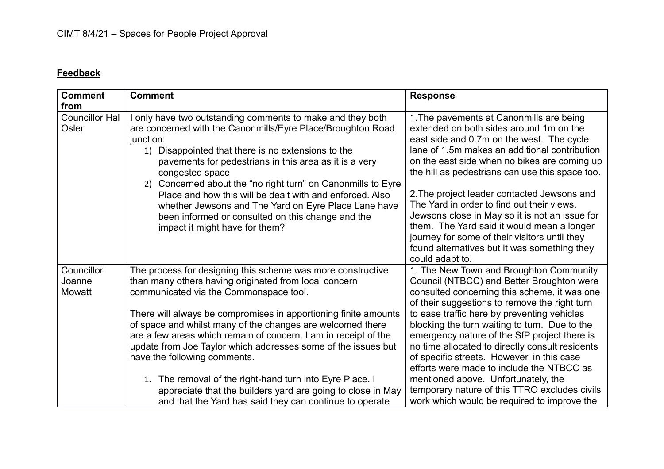## **Feedback**

| <b>Comment</b>                 | <b>Comment</b>                                                                                                                                                                                                                                                                                                                                                                                                                                                                                                                                     | <b>Response</b>                                                                                                                                                                                                                                                                                                                                                                                                                                                                                                                                                                                       |
|--------------------------------|----------------------------------------------------------------------------------------------------------------------------------------------------------------------------------------------------------------------------------------------------------------------------------------------------------------------------------------------------------------------------------------------------------------------------------------------------------------------------------------------------------------------------------------------------|-------------------------------------------------------------------------------------------------------------------------------------------------------------------------------------------------------------------------------------------------------------------------------------------------------------------------------------------------------------------------------------------------------------------------------------------------------------------------------------------------------------------------------------------------------------------------------------------------------|
| from                           |                                                                                                                                                                                                                                                                                                                                                                                                                                                                                                                                                    |                                                                                                                                                                                                                                                                                                                                                                                                                                                                                                                                                                                                       |
| <b>Councillor Hal</b><br>Osler | only have two outstanding comments to make and they both<br>are concerned with the Canonmills/Eyre Place/Broughton Road<br>junction:<br>1) Disappointed that there is no extensions to the<br>pavements for pedestrians in this area as it is a very<br>congested space<br>2) Concerned about the "no right turn" on Canonmills to Eyre<br>Place and how this will be dealt with and enforced. Also<br>whether Jewsons and The Yard on Eyre Place Lane have<br>been informed or consulted on this change and the<br>impact it might have for them? | 1. The pavements at Canonmills are being<br>extended on both sides around 1m on the<br>east side and 0.7m on the west. The cycle<br>lane of 1.5m makes an additional contribution<br>on the east side when no bikes are coming up<br>the hill as pedestrians can use this space too.<br>2. The project leader contacted Jewsons and<br>The Yard in order to find out their views.<br>Jewsons close in May so it is not an issue for<br>them. The Yard said it would mean a longer<br>journey for some of their visitors until they<br>found alternatives but it was something they<br>could adapt to. |
| Councillor<br>Joanne<br>Mowatt | The process for designing this scheme was more constructive<br>than many others having originated from local concern<br>communicated via the Commonspace tool.<br>There will always be compromises in apportioning finite amounts<br>of space and whilst many of the changes are welcomed there<br>are a few areas which remain of concern. I am in receipt of the<br>update from Joe Taylor which addresses some of the issues but<br>have the following comments.                                                                                | 1. The New Town and Broughton Community<br>Council (NTBCC) and Better Broughton were<br>consulted concerning this scheme, it was one<br>of their suggestions to remove the right turn<br>to ease traffic here by preventing vehicles<br>blocking the turn waiting to turn. Due to the<br>emergency nature of the SfP project there is<br>no time allocated to directly consult residents<br>of specific streets. However, in this case<br>efforts were made to include the NTBCC as                                                                                                                   |
|                                | 1. The removal of the right-hand turn into Eyre Place. I<br>appreciate that the builders yard are going to close in May<br>and that the Yard has said they can continue to operate                                                                                                                                                                                                                                                                                                                                                                 | mentioned above. Unfortunately, the<br>temporary nature of this TTRO excludes civils<br>work which would be required to improve the                                                                                                                                                                                                                                                                                                                                                                                                                                                                   |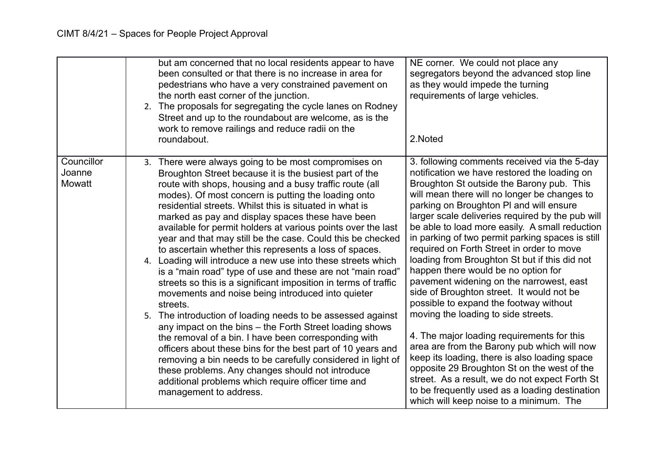|                                | but am concerned that no local residents appear to have<br>been consulted or that there is no increase in area for<br>pedestrians who have a very constrained pavement on<br>the north east corner of the junction.<br>2. The proposals for segregating the cycle lanes on Rodney<br>Street and up to the roundabout are welcome, as is the<br>work to remove railings and reduce radii on the<br>roundabout.                                                                                                                                                                                                                                                                                                                                                                                                                                                                                                                                                                                                                                                                                                                                                                                                                                                 | NE corner. We could not place any<br>segregators beyond the advanced stop line<br>as they would impede the turning<br>requirements of large vehicles.<br>2.Noted                                                                                                                                                                                                                                                                                                                                                                                                                                                                                                                                                                                                                                                                                                                                                                                                                                                                                          |
|--------------------------------|---------------------------------------------------------------------------------------------------------------------------------------------------------------------------------------------------------------------------------------------------------------------------------------------------------------------------------------------------------------------------------------------------------------------------------------------------------------------------------------------------------------------------------------------------------------------------------------------------------------------------------------------------------------------------------------------------------------------------------------------------------------------------------------------------------------------------------------------------------------------------------------------------------------------------------------------------------------------------------------------------------------------------------------------------------------------------------------------------------------------------------------------------------------------------------------------------------------------------------------------------------------|-----------------------------------------------------------------------------------------------------------------------------------------------------------------------------------------------------------------------------------------------------------------------------------------------------------------------------------------------------------------------------------------------------------------------------------------------------------------------------------------------------------------------------------------------------------------------------------------------------------------------------------------------------------------------------------------------------------------------------------------------------------------------------------------------------------------------------------------------------------------------------------------------------------------------------------------------------------------------------------------------------------------------------------------------------------|
| Councillor<br>Joanne<br>Mowatt | 3. There were always going to be most compromises on<br>Broughton Street because it is the busiest part of the<br>route with shops, housing and a busy traffic route (all<br>modes). Of most concern is putting the loading onto<br>residential streets. Whilst this is situated in what is<br>marked as pay and display spaces these have been<br>available for permit holders at various points over the last<br>year and that may still be the case. Could this be checked<br>to ascertain whether this represents a loss of spaces.<br>4. Loading will introduce a new use into these streets which<br>is a "main road" type of use and these are not "main road"<br>streets so this is a significant imposition in terms of traffic<br>movements and noise being introduced into quieter<br>streets.<br>5. The introduction of loading needs to be assessed against<br>any impact on the bins - the Forth Street loading shows<br>the removal of a bin. I have been corresponding with<br>officers about these bins for the best part of 10 years and<br>removing a bin needs to be carefully considered in light of<br>these problems. Any changes should not introduce<br>additional problems which require officer time and<br>management to address. | 3. following comments received via the 5-day<br>notification we have restored the loading on<br>Broughton St outside the Barony pub. This<br>will mean there will no longer be changes to<br>parking on Broughton PI and will ensure<br>larger scale deliveries required by the pub will<br>be able to load more easily. A small reduction<br>in parking of two permit parking spaces is still<br>required on Forth Street in order to move<br>loading from Broughton St but if this did not<br>happen there would be no option for<br>pavement widening on the narrowest, east<br>side of Broughton street. It would not be<br>possible to expand the footway without<br>moving the loading to side streets.<br>4. The major loading requirements for this<br>area are from the Barony pub which will now<br>keep its loading, there is also loading space<br>opposite 29 Broughton St on the west of the<br>street. As a result, we do not expect Forth St<br>to be frequently used as a loading destination<br>which will keep noise to a minimum. The |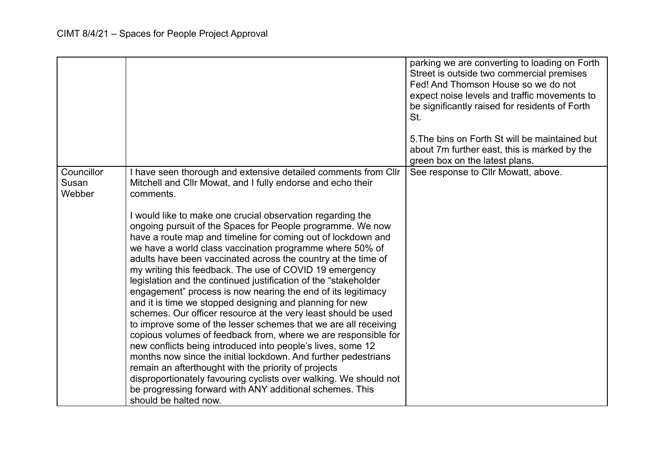|                               |                                                                                                                                                                                                                                                                                                                                                                                                                                                                                                                                                                                                                                                                                                                                                                                                                                                                                                                                                                                                                                                                                                                                                                                                                                                                                         | parking we are converting to loading on Forth<br>Street is outside two commercial premises<br>Fed! And Thomson House so we do not<br>expect noise levels and traffic movements to<br>be significantly raised for residents of Forth<br>St.<br>5. The bins on Forth St will be maintained but<br>about 7m further east, this is marked by the<br>green box on the latest plans. |
|-------------------------------|-----------------------------------------------------------------------------------------------------------------------------------------------------------------------------------------------------------------------------------------------------------------------------------------------------------------------------------------------------------------------------------------------------------------------------------------------------------------------------------------------------------------------------------------------------------------------------------------------------------------------------------------------------------------------------------------------------------------------------------------------------------------------------------------------------------------------------------------------------------------------------------------------------------------------------------------------------------------------------------------------------------------------------------------------------------------------------------------------------------------------------------------------------------------------------------------------------------------------------------------------------------------------------------------|--------------------------------------------------------------------------------------------------------------------------------------------------------------------------------------------------------------------------------------------------------------------------------------------------------------------------------------------------------------------------------|
| Councillor<br>Susan<br>Webber | I have seen thorough and extensive detailed comments from Cllr<br>Mitchell and Cllr Mowat, and I fully endorse and echo their<br>comments.<br>I would like to make one crucial observation regarding the<br>ongoing pursuit of the Spaces for People programme. We now<br>have a route map and timeline for coming out of lockdown and<br>we have a world class vaccination programme where 50% of<br>adults have been vaccinated across the country at the time of<br>my writing this feedback. The use of COVID 19 emergency<br>legislation and the continued justification of the "stakeholder<br>engagement" process is now nearing the end of its legitimacy<br>and it is time we stopped designing and planning for new<br>schemes. Our officer resource at the very least should be used<br>to improve some of the lesser schemes that we are all receiving<br>copious volumes of feedback from, where we are responsible for<br>new conflicts being introduced into people's lives, some 12<br>months now since the initial lockdown. And further pedestrians<br>remain an afterthought with the priority of projects<br>disproportionately favouring cyclists over walking. We should not<br>be progressing forward with ANY additional schemes. This<br>should be halted now. | See response to Cllr Mowatt, above.                                                                                                                                                                                                                                                                                                                                            |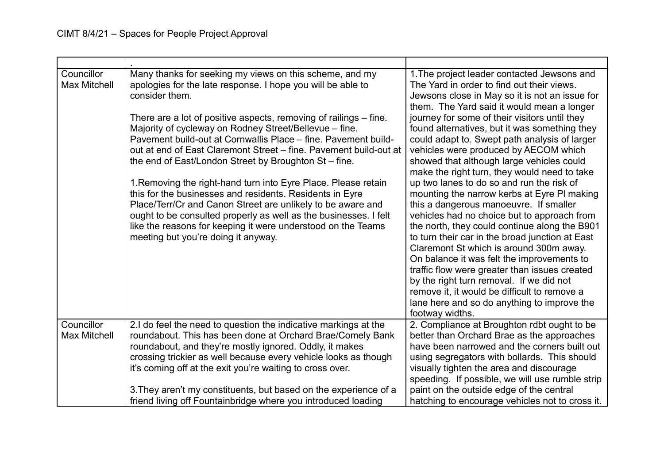| Councillor<br><b>Max Mitchell</b> | Many thanks for seeking my views on this scheme, and my<br>apologies for the late response. I hope you will be able to<br>consider them.<br>There are a lot of positive aspects, removing of railings – fine.<br>Majority of cycleway on Rodney Street/Bellevue - fine.<br>Pavement build-out at Cornwallis Place – fine. Pavement build-<br>out at end of East Claremont Street – fine. Pavement build-out at<br>the end of East/London Street by Broughton St-fine.<br>1. Removing the right-hand turn into Eyre Place. Please retain<br>this for the businesses and residents. Residents in Eyre<br>Place/Terr/Cr and Canon Street are unlikely to be aware and<br>ought to be consulted properly as well as the businesses. I felt<br>like the reasons for keeping it were understood on the Teams<br>meeting but you're doing it anyway. | 1. The project leader contacted Jewsons and<br>The Yard in order to find out their views.<br>Jewsons close in May so it is not an issue for<br>them. The Yard said it would mean a longer<br>journey for some of their visitors until they<br>found alternatives, but it was something they<br>could adapt to. Swept path analysis of larger<br>vehicles were produced by AECOM which<br>showed that although large vehicles could<br>make the right turn, they would need to take<br>up two lanes to do so and run the risk of<br>mounting the narrow kerbs at Eyre PI making<br>this a dangerous manoeuvre. If smaller<br>vehicles had no choice but to approach from<br>the north, they could continue along the B901<br>to turn their car in the broad junction at East<br>Claremont St which is around 300m away.<br>On balance it was felt the improvements to<br>traffic flow were greater than issues created<br>by the right turn removal. If we did not<br>remove it, it would be difficult to remove a<br>lane here and so do anything to improve the<br>footway widths. |
|-----------------------------------|-----------------------------------------------------------------------------------------------------------------------------------------------------------------------------------------------------------------------------------------------------------------------------------------------------------------------------------------------------------------------------------------------------------------------------------------------------------------------------------------------------------------------------------------------------------------------------------------------------------------------------------------------------------------------------------------------------------------------------------------------------------------------------------------------------------------------------------------------|-------------------------------------------------------------------------------------------------------------------------------------------------------------------------------------------------------------------------------------------------------------------------------------------------------------------------------------------------------------------------------------------------------------------------------------------------------------------------------------------------------------------------------------------------------------------------------------------------------------------------------------------------------------------------------------------------------------------------------------------------------------------------------------------------------------------------------------------------------------------------------------------------------------------------------------------------------------------------------------------------------------------------------------------------------------------------------------|
| Councillor<br><b>Max Mitchell</b> | 2.I do feel the need to question the indicative markings at the<br>roundabout. This has been done at Orchard Brae/Comely Bank<br>roundabout, and they're mostly ignored. Oddly, it makes<br>crossing trickier as well because every vehicle looks as though<br>it's coming off at the exit you're waiting to cross over.<br>3. They aren't my constituents, but based on the experience of a<br>friend living off Fountainbridge where you introduced loading                                                                                                                                                                                                                                                                                                                                                                                 | 2. Compliance at Broughton rdbt ought to be<br>better than Orchard Brae as the approaches<br>have been narrowed and the corners built out<br>using segregators with bollards. This should<br>visually tighten the area and discourage<br>speeding. If possible, we will use rumble strip<br>paint on the outside edge of the central<br>hatching to encourage vehicles not to cross it.                                                                                                                                                                                                                                                                                                                                                                                                                                                                                                                                                                                                                                                                                             |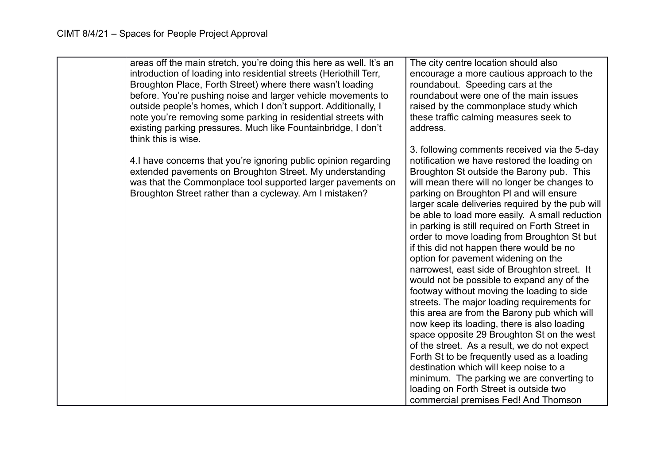| areas off the main stretch, you're doing this here as well. It's an<br>introduction of loading into residential streets (Heriothill Terr,<br>Broughton Place, Forth Street) where there wasn't loading<br>before. You're pushing noise and larger vehicle movements to<br>outside people's homes, which I don't support. Additionally, I<br>note you're removing some parking in residential streets with<br>existing parking pressures. Much like Fountainbridge, I don't<br>think this is wise. | The city centre location should also<br>encourage a more cautious approach to the<br>roundabout. Speeding cars at the<br>roundabout were one of the main issues<br>raised by the commonplace study which<br>these traffic calming measures seek to<br>address.                                                                                                                                                                                                                                                                                                                                                                                                                                                                                                                                                                                                                                                                                                                                                                                                                                                                                  |
|---------------------------------------------------------------------------------------------------------------------------------------------------------------------------------------------------------------------------------------------------------------------------------------------------------------------------------------------------------------------------------------------------------------------------------------------------------------------------------------------------|-------------------------------------------------------------------------------------------------------------------------------------------------------------------------------------------------------------------------------------------------------------------------------------------------------------------------------------------------------------------------------------------------------------------------------------------------------------------------------------------------------------------------------------------------------------------------------------------------------------------------------------------------------------------------------------------------------------------------------------------------------------------------------------------------------------------------------------------------------------------------------------------------------------------------------------------------------------------------------------------------------------------------------------------------------------------------------------------------------------------------------------------------|
| 4. I have concerns that you're ignoring public opinion regarding<br>extended pavements on Broughton Street. My understanding<br>was that the Commonplace tool supported larger pavements on<br>Broughton Street rather than a cycleway. Am I mistaken?                                                                                                                                                                                                                                            | 3. following comments received via the 5-day<br>notification we have restored the loading on<br>Broughton St outside the Barony pub. This<br>will mean there will no longer be changes to<br>parking on Broughton PI and will ensure<br>larger scale deliveries required by the pub will<br>be able to load more easily. A small reduction<br>in parking is still required on Forth Street in<br>order to move loading from Broughton St but<br>if this did not happen there would be no<br>option for pavement widening on the<br>narrowest, east side of Broughton street. It<br>would not be possible to expand any of the<br>footway without moving the loading to side<br>streets. The major loading requirements for<br>this area are from the Barony pub which will<br>now keep its loading, there is also loading<br>space opposite 29 Broughton St on the west<br>of the street. As a result, we do not expect<br>Forth St to be frequently used as a loading<br>destination which will keep noise to a<br>minimum. The parking we are converting to<br>loading on Forth Street is outside two<br>commercial premises Fed! And Thomson |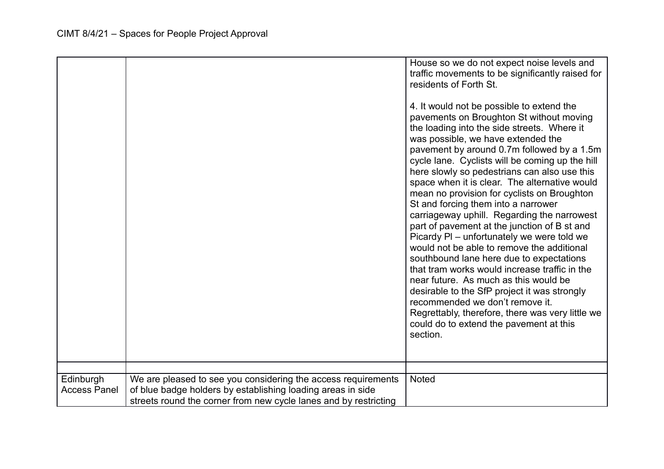|                                  |                                                                                                                                                                                                  | House so we do not expect noise levels and<br>traffic movements to be significantly raised for<br>residents of Forth St.<br>4. It would not be possible to extend the<br>pavements on Broughton St without moving<br>the loading into the side streets. Where it<br>was possible, we have extended the<br>pavement by around 0.7m followed by a 1.5m<br>cycle lane. Cyclists will be coming up the hill<br>here slowly so pedestrians can also use this<br>space when it is clear. The alternative would<br>mean no provision for cyclists on Broughton<br>St and forcing them into a narrower<br>carriageway uphill. Regarding the narrowest<br>part of pavement at the junction of B st and<br>Picardy PI – unfortunately we were told we<br>would not be able to remove the additional<br>southbound lane here due to expectations<br>that tram works would increase traffic in the<br>near future. As much as this would be<br>desirable to the SfP project it was strongly<br>recommended we don't remove it.<br>Regrettably, therefore, there was very little we<br>could do to extend the pavement at this<br>section. |
|----------------------------------|--------------------------------------------------------------------------------------------------------------------------------------------------------------------------------------------------|-------------------------------------------------------------------------------------------------------------------------------------------------------------------------------------------------------------------------------------------------------------------------------------------------------------------------------------------------------------------------------------------------------------------------------------------------------------------------------------------------------------------------------------------------------------------------------------------------------------------------------------------------------------------------------------------------------------------------------------------------------------------------------------------------------------------------------------------------------------------------------------------------------------------------------------------------------------------------------------------------------------------------------------------------------------------------------------------------------------------------------|
| Edinburgh<br><b>Access Panel</b> | We are pleased to see you considering the access requirements<br>of blue badge holders by establishing loading areas in side<br>streets round the corner from new cycle lanes and by restricting | <b>Noted</b>                                                                                                                                                                                                                                                                                                                                                                                                                                                                                                                                                                                                                                                                                                                                                                                                                                                                                                                                                                                                                                                                                                                  |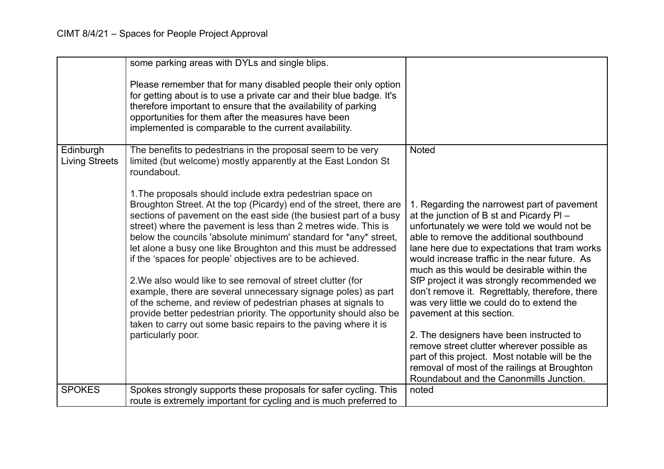|                                    | some parking areas with DYLs and single blips.                                                                                                                                                                                                                                                                                                                                                                                                                                                                                                                                                                                                                                                                                                                                                                                            |                                                                                                                                                                                                                                                                                                                                                                                                                                                                                                                                                        |
|------------------------------------|-------------------------------------------------------------------------------------------------------------------------------------------------------------------------------------------------------------------------------------------------------------------------------------------------------------------------------------------------------------------------------------------------------------------------------------------------------------------------------------------------------------------------------------------------------------------------------------------------------------------------------------------------------------------------------------------------------------------------------------------------------------------------------------------------------------------------------------------|--------------------------------------------------------------------------------------------------------------------------------------------------------------------------------------------------------------------------------------------------------------------------------------------------------------------------------------------------------------------------------------------------------------------------------------------------------------------------------------------------------------------------------------------------------|
|                                    | Please remember that for many disabled people their only option<br>for getting about is to use a private car and their blue badge. It's<br>therefore important to ensure that the availability of parking<br>opportunities for them after the measures have been<br>implemented is comparable to the current availability.                                                                                                                                                                                                                                                                                                                                                                                                                                                                                                                |                                                                                                                                                                                                                                                                                                                                                                                                                                                                                                                                                        |
| Edinburgh<br><b>Living Streets</b> | The benefits to pedestrians in the proposal seem to be very<br>limited (but welcome) mostly apparently at the East London St<br>roundabout.                                                                                                                                                                                                                                                                                                                                                                                                                                                                                                                                                                                                                                                                                               | <b>Noted</b>                                                                                                                                                                                                                                                                                                                                                                                                                                                                                                                                           |
|                                    | 1. The proposals should include extra pedestrian space on<br>Broughton Street. At the top (Picardy) end of the street, there are<br>sections of pavement on the east side (the busiest part of a busy<br>street) where the pavement is less than 2 metres wide. This is<br>below the councils 'absolute minimum' standard for *any* street,<br>let alone a busy one like Broughton and this must be addressed<br>if the 'spaces for people' objectives are to be achieved.<br>2. We also would like to see removal of street clutter (for<br>example, there are several unnecessary signage poles) as part<br>of the scheme, and review of pedestrian phases at signals to<br>provide better pedestrian priority. The opportunity should also be<br>taken to carry out some basic repairs to the paving where it is<br>particularly poor. | 1. Regarding the narrowest part of pavement<br>at the junction of B st and Picardy PI-<br>unfortunately we were told we would not be<br>able to remove the additional southbound<br>lane here due to expectations that tram works<br>would increase traffic in the near future. As<br>much as this would be desirable within the<br>SfP project it was strongly recommended we<br>don't remove it. Regrettably, therefore, there<br>was very little we could do to extend the<br>pavement at this section.<br>2. The designers have been instructed to |
|                                    |                                                                                                                                                                                                                                                                                                                                                                                                                                                                                                                                                                                                                                                                                                                                                                                                                                           | remove street clutter wherever possible as<br>part of this project. Most notable will be the<br>removal of most of the railings at Broughton<br>Roundabout and the Canonmills Junction.                                                                                                                                                                                                                                                                                                                                                                |
| <b>SPOKES</b>                      | Spokes strongly supports these proposals for safer cycling. This<br>route is extremely important for cycling and is much preferred to                                                                                                                                                                                                                                                                                                                                                                                                                                                                                                                                                                                                                                                                                                     | noted                                                                                                                                                                                                                                                                                                                                                                                                                                                                                                                                                  |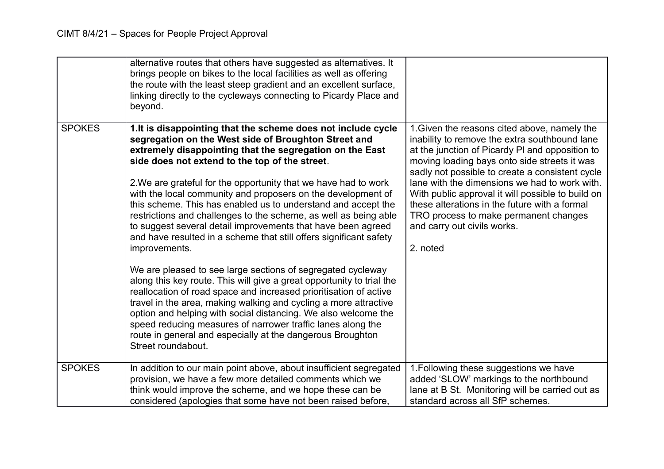|               | alternative routes that others have suggested as alternatives. It<br>brings people on bikes to the local facilities as well as offering<br>the route with the least steep gradient and an excellent surface,<br>linking directly to the cycleways connecting to Picardy Place and<br>beyond.                                                                                                                                                                                                                                                                                                                                                                                                                                                                                                                                                                                                                                                                                                                                                                                                                                                                             |                                                                                                                                                                                                                                                                                                                                                                                                                                                                                                |
|---------------|--------------------------------------------------------------------------------------------------------------------------------------------------------------------------------------------------------------------------------------------------------------------------------------------------------------------------------------------------------------------------------------------------------------------------------------------------------------------------------------------------------------------------------------------------------------------------------------------------------------------------------------------------------------------------------------------------------------------------------------------------------------------------------------------------------------------------------------------------------------------------------------------------------------------------------------------------------------------------------------------------------------------------------------------------------------------------------------------------------------------------------------------------------------------------|------------------------------------------------------------------------------------------------------------------------------------------------------------------------------------------------------------------------------------------------------------------------------------------------------------------------------------------------------------------------------------------------------------------------------------------------------------------------------------------------|
| <b>SPOKES</b> | 1. It is disappointing that the scheme does not include cycle<br>segregation on the West side of Broughton Street and<br>extremely disappointing that the segregation on the East<br>side does not extend to the top of the street.<br>2. We are grateful for the opportunity that we have had to work<br>with the local community and proposers on the development of<br>this scheme. This has enabled us to understand and accept the<br>restrictions and challenges to the scheme, as well as being able<br>to suggest several detail improvements that have been agreed<br>and have resulted in a scheme that still offers significant safety<br>improvements.<br>We are pleased to see large sections of segregated cycleway<br>along this key route. This will give a great opportunity to trial the<br>reallocation of road space and increased prioritisation of active<br>travel in the area, making walking and cycling a more attractive<br>option and helping with social distancing. We also welcome the<br>speed reducing measures of narrower traffic lanes along the<br>route in general and especially at the dangerous Broughton<br>Street roundabout. | 1. Given the reasons cited above, namely the<br>inability to remove the extra southbound lane<br>at the junction of Picardy PI and opposition to<br>moving loading bays onto side streets it was<br>sadly not possible to create a consistent cycle<br>lane with the dimensions we had to work with.<br>With public approval it will possible to build on<br>these alterations in the future with a formal<br>TRO process to make permanent changes<br>and carry out civils works.<br>2. noted |
| <b>SPOKES</b> | In addition to our main point above, about insufficient segregated<br>provision, we have a few more detailed comments which we<br>think would improve the scheme, and we hope these can be<br>considered (apologies that some have not been raised before,                                                                                                                                                                                                                                                                                                                                                                                                                                                                                                                                                                                                                                                                                                                                                                                                                                                                                                               | 1. Following these suggestions we have<br>added 'SLOW' markings to the northbound<br>lane at B St. Monitoring will be carried out as<br>standard across all SfP schemes.                                                                                                                                                                                                                                                                                                                       |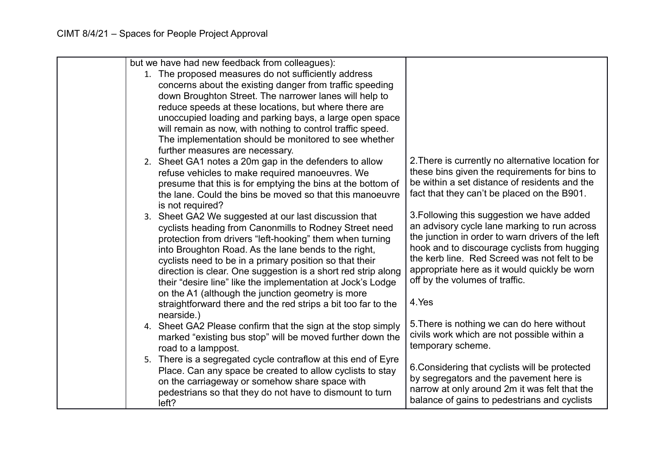|  | but we have had new feedback from colleagues):                |                                                                                           |
|--|---------------------------------------------------------------|-------------------------------------------------------------------------------------------|
|  | 1. The proposed measures do not sufficiently address          |                                                                                           |
|  | concerns about the existing danger from traffic speeding      |                                                                                           |
|  | down Broughton Street. The narrower lanes will help to        |                                                                                           |
|  | reduce speeds at these locations, but where there are         |                                                                                           |
|  | unoccupied loading and parking bays, a large open space       |                                                                                           |
|  | will remain as now, with nothing to control traffic speed.    |                                                                                           |
|  | The implementation should be monitored to see whether         |                                                                                           |
|  | further measures are necessary.                               |                                                                                           |
|  | 2. Sheet GA1 notes a 20m gap in the defenders to allow        | 2. There is currently no alternative location for                                         |
|  | refuse vehicles to make required manoeuvres. We               | these bins given the requirements for bins to                                             |
|  | presume that this is for emptying the bins at the bottom of   | be within a set distance of residents and the                                             |
|  | the lane. Could the bins be moved so that this manoeuvre      | fact that they can't be placed on the B901.                                               |
|  | is not required?                                              |                                                                                           |
|  | 3. Sheet GA2 We suggested at our last discussion that         | 3. Following this suggestion we have added                                                |
|  | cyclists heading from Canonmills to Rodney Street need        | an advisory cycle lane marking to run across                                              |
|  | protection from drivers "left-hooking" them when turning      | the junction in order to warn drivers of the left                                         |
|  | into Broughton Road. As the lane bends to the right,          | hook and to discourage cyclists from hugging                                              |
|  | cyclists need to be in a primary position so that their       | the kerb line. Red Screed was not felt to be                                              |
|  | direction is clear. One suggestion is a short red strip along | appropriate here as it would quickly be worn                                              |
|  | their "desire line" like the implementation at Jock's Lodge   | off by the volumes of traffic.                                                            |
|  | on the A1 (although the junction geometry is more             |                                                                                           |
|  | straightforward there and the red strips a bit too far to the | 4.Yes                                                                                     |
|  | nearside.)                                                    |                                                                                           |
|  | 4. Sheet GA2 Please confirm that the sign at the stop simply  | 5. There is nothing we can do here without<br>civils work which are not possible within a |
|  | marked "existing bus stop" will be moved further down the     | temporary scheme.                                                                         |
|  | road to a lamppost.                                           |                                                                                           |
|  | 5. There is a segregated cycle contraflow at this end of Eyre | 6. Considering that cyclists will be protected                                            |
|  | Place. Can any space be created to allow cyclists to stay     | by segregators and the pavement here is                                                   |
|  | on the carriageway or somehow share space with                | narrow at only around 2m it was felt that the                                             |
|  | pedestrians so that they do not have to dismount to turn      | balance of gains to pedestrians and cyclists                                              |
|  | left?                                                         |                                                                                           |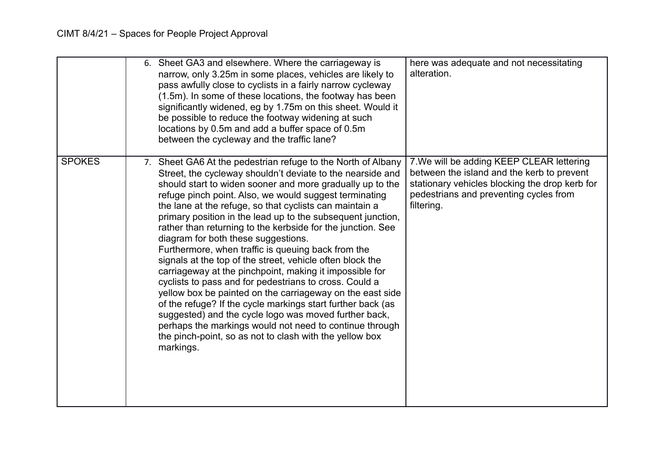|               | 6. Sheet GA3 and elsewhere. Where the carriageway is<br>narrow, only 3.25m in some places, vehicles are likely to<br>pass awfully close to cyclists in a fairly narrow cycleway<br>(1.5m). In some of these locations, the footway has been<br>significantly widened, eg by 1.75m on this sheet. Would it<br>be possible to reduce the footway widening at such<br>locations by 0.5m and add a buffer space of 0.5m<br>between the cycleway and the traffic lane?                                                                                                                                                                                                                                                                                                                                                                                                                                                                                                                                                                                 | here was adequate and not necessitating<br>alteration.                                                                                                                                            |
|---------------|---------------------------------------------------------------------------------------------------------------------------------------------------------------------------------------------------------------------------------------------------------------------------------------------------------------------------------------------------------------------------------------------------------------------------------------------------------------------------------------------------------------------------------------------------------------------------------------------------------------------------------------------------------------------------------------------------------------------------------------------------------------------------------------------------------------------------------------------------------------------------------------------------------------------------------------------------------------------------------------------------------------------------------------------------|---------------------------------------------------------------------------------------------------------------------------------------------------------------------------------------------------|
| <b>SPOKES</b> | 7. Sheet GA6 At the pedestrian refuge to the North of Albany<br>Street, the cycleway shouldn't deviate to the nearside and<br>should start to widen sooner and more gradually up to the<br>refuge pinch point. Also, we would suggest terminating<br>the lane at the refuge, so that cyclists can maintain a<br>primary position in the lead up to the subsequent junction,<br>rather than returning to the kerbside for the junction. See<br>diagram for both these suggestions.<br>Furthermore, when traffic is queuing back from the<br>signals at the top of the street, vehicle often block the<br>carriageway at the pinchpoint, making it impossible for<br>cyclists to pass and for pedestrians to cross. Could a<br>yellow box be painted on the carriageway on the east side<br>of the refuge? If the cycle markings start further back (as<br>suggested) and the cycle logo was moved further back,<br>perhaps the markings would not need to continue through<br>the pinch-point, so as not to clash with the yellow box<br>markings. | 7. We will be adding KEEP CLEAR lettering<br>between the island and the kerb to prevent<br>stationary vehicles blocking the drop kerb for<br>pedestrians and preventing cycles from<br>filtering. |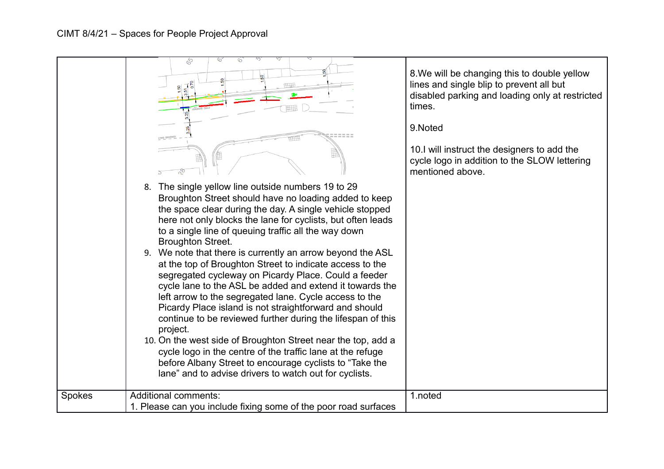|               | \$<br>0.<br><b>DING ONLY</b>                                                                                                                                                                                                                                                                                                                                                                                                                                                                                                                                                                                                                                                                                                                                                                                                                                                                                                                                                                                               | 8. We will be changing this to double yellow<br>lines and single blip to prevent all but<br>disabled parking and loading only at restricted<br>times.<br>9.Noted<br>10.I will instruct the designers to add the |
|---------------|----------------------------------------------------------------------------------------------------------------------------------------------------------------------------------------------------------------------------------------------------------------------------------------------------------------------------------------------------------------------------------------------------------------------------------------------------------------------------------------------------------------------------------------------------------------------------------------------------------------------------------------------------------------------------------------------------------------------------------------------------------------------------------------------------------------------------------------------------------------------------------------------------------------------------------------------------------------------------------------------------------------------------|-----------------------------------------------------------------------------------------------------------------------------------------------------------------------------------------------------------------|
|               |                                                                                                                                                                                                                                                                                                                                                                                                                                                                                                                                                                                                                                                                                                                                                                                                                                                                                                                                                                                                                            | cycle logo in addition to the SLOW lettering<br>mentioned above.                                                                                                                                                |
|               | 8. The single yellow line outside numbers 19 to 29<br>Broughton Street should have no loading added to keep<br>the space clear during the day. A single vehicle stopped<br>here not only blocks the lane for cyclists, but often leads<br>to a single line of queuing traffic all the way down<br><b>Broughton Street.</b><br>9. We note that there is currently an arrow beyond the ASL<br>at the top of Broughton Street to indicate access to the<br>segregated cycleway on Picardy Place. Could a feeder<br>cycle lane to the ASL be added and extend it towards the<br>left arrow to the segregated lane. Cycle access to the<br>Picardy Place island is not straightforward and should<br>continue to be reviewed further during the lifespan of this<br>project.<br>10. On the west side of Broughton Street near the top, add a<br>cycle logo in the centre of the traffic lane at the refuge<br>before Albany Street to encourage cyclists to "Take the<br>lane" and to advise drivers to watch out for cyclists. |                                                                                                                                                                                                                 |
| <b>Spokes</b> | <b>Additional comments:</b>                                                                                                                                                                                                                                                                                                                                                                                                                                                                                                                                                                                                                                                                                                                                                                                                                                                                                                                                                                                                | 1.noted                                                                                                                                                                                                         |
|               | 1. Please can you include fixing some of the poor road surfaces                                                                                                                                                                                                                                                                                                                                                                                                                                                                                                                                                                                                                                                                                                                                                                                                                                                                                                                                                            |                                                                                                                                                                                                                 |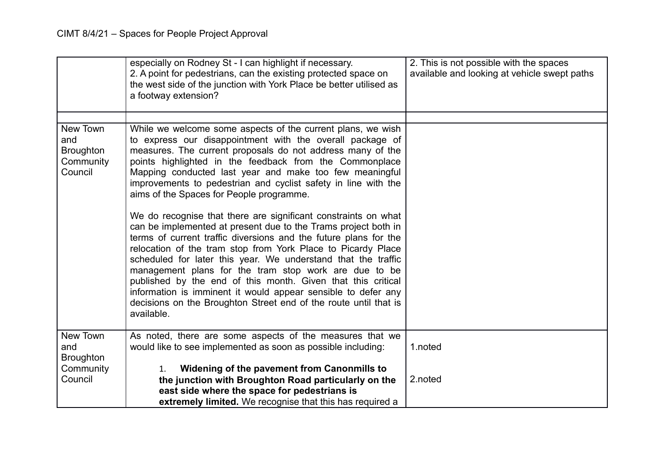|                                                             | especially on Rodney St - I can highlight if necessary.<br>2. A point for pedestrians, can the existing protected space on<br>the west side of the junction with York Place be better utilised as<br>a footway extension?                                                                                                                                                                                                                                                                                                                                                                                                                                                                                                                                                                                                                                                                                                                                                                                                                       | 2. This is not possible with the spaces<br>available and looking at vehicle swept paths |
|-------------------------------------------------------------|-------------------------------------------------------------------------------------------------------------------------------------------------------------------------------------------------------------------------------------------------------------------------------------------------------------------------------------------------------------------------------------------------------------------------------------------------------------------------------------------------------------------------------------------------------------------------------------------------------------------------------------------------------------------------------------------------------------------------------------------------------------------------------------------------------------------------------------------------------------------------------------------------------------------------------------------------------------------------------------------------------------------------------------------------|-----------------------------------------------------------------------------------------|
|                                                             |                                                                                                                                                                                                                                                                                                                                                                                                                                                                                                                                                                                                                                                                                                                                                                                                                                                                                                                                                                                                                                                 |                                                                                         |
| New Town<br>and<br><b>Broughton</b><br>Community<br>Council | While we welcome some aspects of the current plans, we wish<br>to express our disappointment with the overall package of<br>measures. The current proposals do not address many of the<br>points highlighted in the feedback from the Commonplace<br>Mapping conducted last year and make too few meaningful<br>improvements to pedestrian and cyclist safety in line with the<br>aims of the Spaces for People programme.<br>We do recognise that there are significant constraints on what<br>can be implemented at present due to the Trams project both in<br>terms of current traffic diversions and the future plans for the<br>relocation of the tram stop from York Place to Picardy Place<br>scheduled for later this year. We understand that the traffic<br>management plans for the tram stop work are due to be<br>published by the end of this month. Given that this critical<br>information is imminent it would appear sensible to defer any<br>decisions on the Broughton Street end of the route until that is<br>available. |                                                                                         |
| New Town<br>and<br><b>Broughton</b>                         | As noted, there are some aspects of the measures that we<br>would like to see implemented as soon as possible including:                                                                                                                                                                                                                                                                                                                                                                                                                                                                                                                                                                                                                                                                                                                                                                                                                                                                                                                        | 1.noted                                                                                 |
| Community                                                   | Widening of the pavement from Canonmills to<br>1.                                                                                                                                                                                                                                                                                                                                                                                                                                                                                                                                                                                                                                                                                                                                                                                                                                                                                                                                                                                               |                                                                                         |
| Council                                                     | the junction with Broughton Road particularly on the                                                                                                                                                                                                                                                                                                                                                                                                                                                                                                                                                                                                                                                                                                                                                                                                                                                                                                                                                                                            | 2.noted                                                                                 |
|                                                             | east side where the space for pedestrians is                                                                                                                                                                                                                                                                                                                                                                                                                                                                                                                                                                                                                                                                                                                                                                                                                                                                                                                                                                                                    |                                                                                         |
|                                                             | extremely limited. We recognise that this has required a                                                                                                                                                                                                                                                                                                                                                                                                                                                                                                                                                                                                                                                                                                                                                                                                                                                                                                                                                                                        |                                                                                         |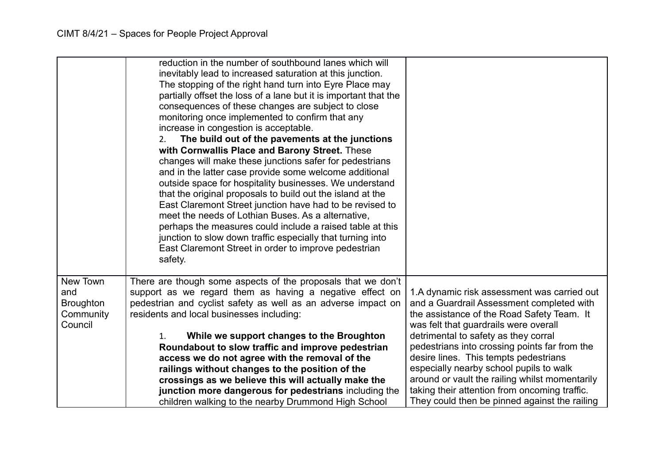|                         | reduction in the number of southbound lanes which will<br>inevitably lead to increased saturation at this junction.<br>The stopping of the right hand turn into Eyre Place may<br>partially offset the loss of a lane but it is important that the<br>consequences of these changes are subject to close<br>monitoring once implemented to confirm that any<br>increase in congestion is acceptable.<br>The build out of the pavements at the junctions<br>2.<br>with Cornwallis Place and Barony Street. These<br>changes will make these junctions safer for pedestrians<br>and in the latter case provide some welcome additional<br>outside space for hospitality businesses. We understand<br>that the original proposals to build out the island at the<br>East Claremont Street junction have had to be revised to<br>meet the needs of Lothian Buses. As a alternative,<br>perhaps the measures could include a raised table at this<br>junction to slow down traffic especially that turning into<br>East Claremont Street in order to improve pedestrian<br>safety. |                                                                                          |
|-------------------------|-------------------------------------------------------------------------------------------------------------------------------------------------------------------------------------------------------------------------------------------------------------------------------------------------------------------------------------------------------------------------------------------------------------------------------------------------------------------------------------------------------------------------------------------------------------------------------------------------------------------------------------------------------------------------------------------------------------------------------------------------------------------------------------------------------------------------------------------------------------------------------------------------------------------------------------------------------------------------------------------------------------------------------------------------------------------------------|------------------------------------------------------------------------------------------|
| New Town                | There are though some aspects of the proposals that we don't                                                                                                                                                                                                                                                                                                                                                                                                                                                                                                                                                                                                                                                                                                                                                                                                                                                                                                                                                                                                                  |                                                                                          |
| and<br><b>Broughton</b> | support as we regard them as having a negative effect on<br>pedestrian and cyclist safety as well as an adverse impact on                                                                                                                                                                                                                                                                                                                                                                                                                                                                                                                                                                                                                                                                                                                                                                                                                                                                                                                                                     | 1.A dynamic risk assessment was carried out<br>and a Guardrail Assessment completed with |
| Community               | residents and local businesses including:                                                                                                                                                                                                                                                                                                                                                                                                                                                                                                                                                                                                                                                                                                                                                                                                                                                                                                                                                                                                                                     | the assistance of the Road Safety Team. It                                               |
| Council                 |                                                                                                                                                                                                                                                                                                                                                                                                                                                                                                                                                                                                                                                                                                                                                                                                                                                                                                                                                                                                                                                                               | was felt that guardrails were overall                                                    |
|                         | While we support changes to the Broughton<br>1.                                                                                                                                                                                                                                                                                                                                                                                                                                                                                                                                                                                                                                                                                                                                                                                                                                                                                                                                                                                                                               | detrimental to safety as they corral                                                     |
|                         | Roundabout to slow traffic and improve pedestrian                                                                                                                                                                                                                                                                                                                                                                                                                                                                                                                                                                                                                                                                                                                                                                                                                                                                                                                                                                                                                             | pedestrians into crossing points far from the                                            |
|                         | access we do not agree with the removal of the                                                                                                                                                                                                                                                                                                                                                                                                                                                                                                                                                                                                                                                                                                                                                                                                                                                                                                                                                                                                                                | desire lines. This tempts pedestrians                                                    |
|                         | railings without changes to the position of the                                                                                                                                                                                                                                                                                                                                                                                                                                                                                                                                                                                                                                                                                                                                                                                                                                                                                                                                                                                                                               | especially nearby school pupils to walk                                                  |
|                         | crossings as we believe this will actually make the                                                                                                                                                                                                                                                                                                                                                                                                                                                                                                                                                                                                                                                                                                                                                                                                                                                                                                                                                                                                                           | around or vault the railing whilst momentarily                                           |
|                         | junction more dangerous for pedestrians including the                                                                                                                                                                                                                                                                                                                                                                                                                                                                                                                                                                                                                                                                                                                                                                                                                                                                                                                                                                                                                         | taking their attention from oncoming traffic.                                            |
|                         | children walking to the nearby Drummond High School                                                                                                                                                                                                                                                                                                                                                                                                                                                                                                                                                                                                                                                                                                                                                                                                                                                                                                                                                                                                                           | They could then be pinned against the railing                                            |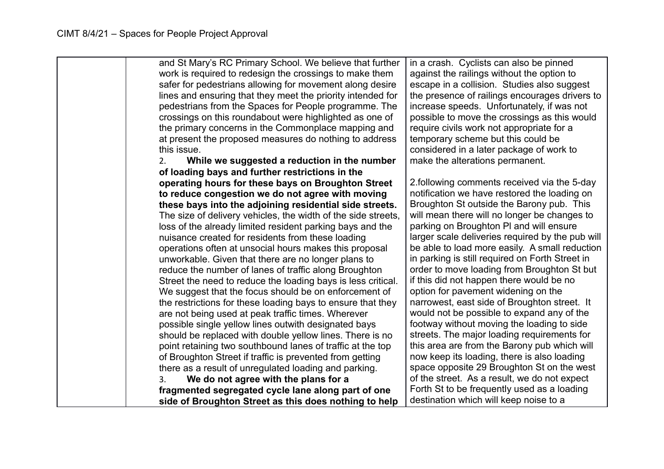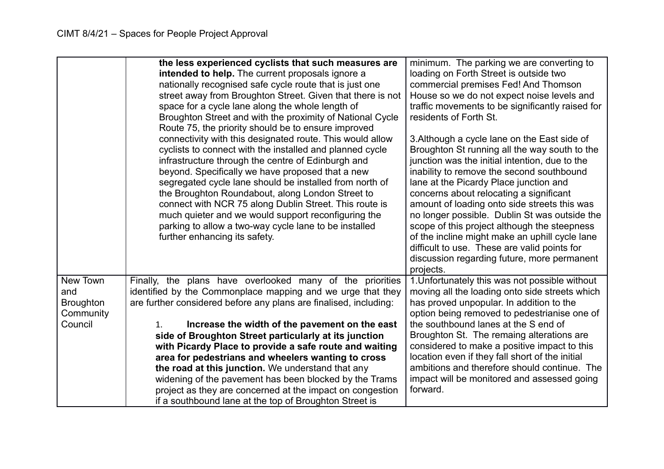|                                                             | the less experienced cyclists that such measures are<br>intended to help. The current proposals ignore a<br>nationally recognised safe cycle route that is just one<br>street away from Broughton Street. Given that there is not<br>space for a cycle lane along the whole length of<br>Broughton Street and with the proximity of National Cycle<br>Route 75, the priority should be to ensure improved<br>connectivity with this designated route. This would allow<br>cyclists to connect with the installed and planned cycle<br>infrastructure through the centre of Edinburgh and<br>beyond. Specifically we have proposed that a new<br>segregated cycle lane should be installed from north of<br>the Broughton Roundabout, along London Street to<br>connect with NCR 75 along Dublin Street. This route is<br>much quieter and we would support reconfiguring the<br>parking to allow a two-way cycle lane to be installed<br>further enhancing its safety. | minimum. The parking we are converting to<br>loading on Forth Street is outside two<br>commercial premises Fed! And Thomson<br>House so we do not expect noise levels and<br>traffic movements to be significantly raised for<br>residents of Forth St.<br>3. Although a cycle lane on the East side of<br>Broughton St running all the way south to the<br>junction was the initial intention, due to the<br>inability to remove the second southbound<br>lane at the Picardy Place junction and<br>concerns about relocating a significant<br>amount of loading onto side streets this was<br>no longer possible. Dublin St was outside the<br>scope of this project although the steepness<br>of the incline might make an uphill cycle lane<br>difficult to use. These are valid points for |
|-------------------------------------------------------------|------------------------------------------------------------------------------------------------------------------------------------------------------------------------------------------------------------------------------------------------------------------------------------------------------------------------------------------------------------------------------------------------------------------------------------------------------------------------------------------------------------------------------------------------------------------------------------------------------------------------------------------------------------------------------------------------------------------------------------------------------------------------------------------------------------------------------------------------------------------------------------------------------------------------------------------------------------------------|-------------------------------------------------------------------------------------------------------------------------------------------------------------------------------------------------------------------------------------------------------------------------------------------------------------------------------------------------------------------------------------------------------------------------------------------------------------------------------------------------------------------------------------------------------------------------------------------------------------------------------------------------------------------------------------------------------------------------------------------------------------------------------------------------|
|                                                             |                                                                                                                                                                                                                                                                                                                                                                                                                                                                                                                                                                                                                                                                                                                                                                                                                                                                                                                                                                        | discussion regarding future, more permanent<br>projects.                                                                                                                                                                                                                                                                                                                                                                                                                                                                                                                                                                                                                                                                                                                                        |
| New Town<br>and<br><b>Broughton</b><br>Community<br>Council | Finally, the plans have overlooked many of the priorities<br>identified by the Commonplace mapping and we urge that they<br>are further considered before any plans are finalised, including:<br>Increase the width of the pavement on the east<br>1.<br>side of Broughton Street particularly at its junction                                                                                                                                                                                                                                                                                                                                                                                                                                                                                                                                                                                                                                                         | 1. Unfortunately this was not possible without<br>moving all the loading onto side streets which<br>has proved unpopular. In addition to the<br>option being removed to pedestrianise one of<br>the southbound lanes at the S end of<br>Broughton St. The remaing alterations are                                                                                                                                                                                                                                                                                                                                                                                                                                                                                                               |
|                                                             | with Picardy Place to provide a safe route and waiting<br>area for pedestrians and wheelers wanting to cross<br>the road at this junction. We understand that any<br>widening of the pavement has been blocked by the Trams<br>project as they are concerned at the impact on congestion<br>if a southbound lane at the top of Broughton Street is                                                                                                                                                                                                                                                                                                                                                                                                                                                                                                                                                                                                                     | considered to make a positive impact to this<br>location even if they fall short of the initial<br>ambitions and therefore should continue. The<br>impact will be monitored and assessed going<br>forward.                                                                                                                                                                                                                                                                                                                                                                                                                                                                                                                                                                                      |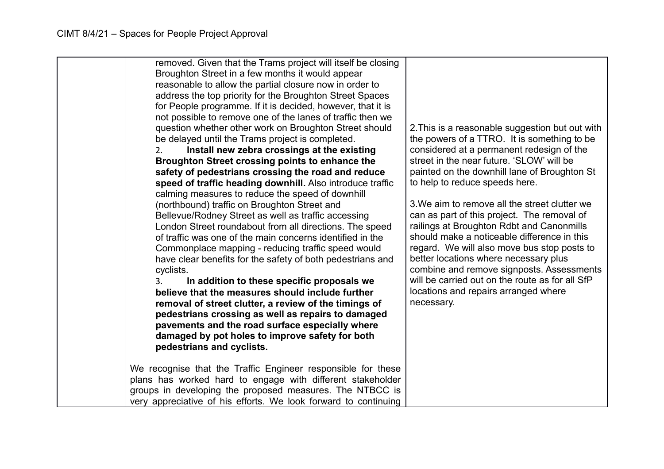| removed. Given that the Trams project will itself be closing<br>Broughton Street in a few months it would appear<br>reasonable to allow the partial closure now in order to<br>address the top priority for the Broughton Street Spaces<br>for People programme. If it is decided, however, that it is<br>not possible to remove one of the lanes of traffic then we<br>question whether other work on Broughton Street should<br>be delayed until the Trams project is completed.<br>Install new zebra crossings at the existing<br>2.<br>Broughton Street crossing points to enhance the<br>safety of pedestrians crossing the road and reduce<br>speed of traffic heading downhill. Also introduce traffic<br>calming measures to reduce the speed of downhill<br>(northbound) traffic on Broughton Street and<br>Bellevue/Rodney Street as well as traffic accessing<br>London Street roundabout from all directions. The speed<br>of traffic was one of the main concerns identified in the<br>Commonplace mapping - reducing traffic speed would<br>have clear benefits for the safety of both pedestrians and<br>cyclists.<br>In addition to these specific proposals we<br>3.<br>believe that the measures should include further<br>removal of street clutter, a review of the timings of<br>pedestrians crossing as well as repairs to damaged<br>pavements and the road surface especially where<br>damaged by pot holes to improve safety for both<br>pedestrians and cyclists. | 2. This is a reasonable suggestion but out with<br>the powers of a TTRO. It is something to be<br>considered at a permanent redesign of the<br>street in the near future. 'SLOW' will be<br>painted on the downhill lane of Broughton St<br>to help to reduce speeds here.<br>3. We aim to remove all the street clutter we<br>can as part of this project. The removal of<br>railings at Broughton Rdbt and Canonmills<br>should make a noticeable difference in this<br>regard. We will also move bus stop posts to<br>better locations where necessary plus<br>combine and remove signposts. Assessments<br>will be carried out on the route as for all SfP<br>locations and repairs arranged where<br>necessary. |
|---------------------------------------------------------------------------------------------------------------------------------------------------------------------------------------------------------------------------------------------------------------------------------------------------------------------------------------------------------------------------------------------------------------------------------------------------------------------------------------------------------------------------------------------------------------------------------------------------------------------------------------------------------------------------------------------------------------------------------------------------------------------------------------------------------------------------------------------------------------------------------------------------------------------------------------------------------------------------------------------------------------------------------------------------------------------------------------------------------------------------------------------------------------------------------------------------------------------------------------------------------------------------------------------------------------------------------------------------------------------------------------------------------------------------------------------------------------------------------------------|----------------------------------------------------------------------------------------------------------------------------------------------------------------------------------------------------------------------------------------------------------------------------------------------------------------------------------------------------------------------------------------------------------------------------------------------------------------------------------------------------------------------------------------------------------------------------------------------------------------------------------------------------------------------------------------------------------------------|
| We recognise that the Traffic Engineer responsible for these<br>plans has worked hard to engage with different stakeholder<br>groups in developing the proposed measures. The NTBCC is<br>very appreciative of his efforts. We look forward to continuing                                                                                                                                                                                                                                                                                                                                                                                                                                                                                                                                                                                                                                                                                                                                                                                                                                                                                                                                                                                                                                                                                                                                                                                                                                   |                                                                                                                                                                                                                                                                                                                                                                                                                                                                                                                                                                                                                                                                                                                      |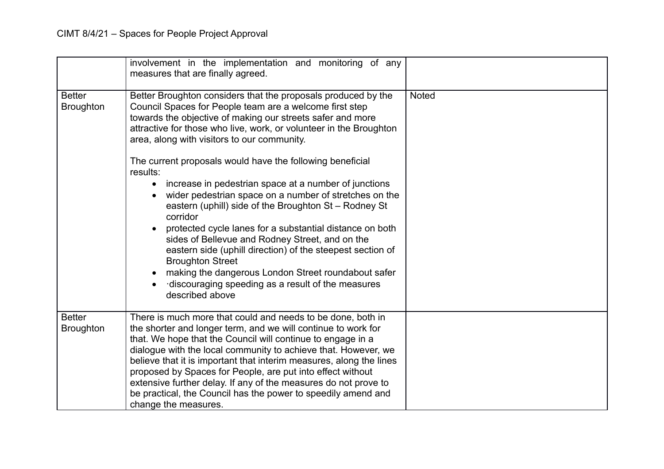|                                   | involvement in the implementation and monitoring of any<br>measures that are finally agreed.                                                                                                                                                                                                                                                                                                                                                                                                                                                                                                                                                                                                                                                                                                                                                                                                                        |              |
|-----------------------------------|---------------------------------------------------------------------------------------------------------------------------------------------------------------------------------------------------------------------------------------------------------------------------------------------------------------------------------------------------------------------------------------------------------------------------------------------------------------------------------------------------------------------------------------------------------------------------------------------------------------------------------------------------------------------------------------------------------------------------------------------------------------------------------------------------------------------------------------------------------------------------------------------------------------------|--------------|
| <b>Better</b><br><b>Broughton</b> | Better Broughton considers that the proposals produced by the<br>Council Spaces for People team are a welcome first step<br>towards the objective of making our streets safer and more<br>attractive for those who live, work, or volunteer in the Broughton<br>area, along with visitors to our community.<br>The current proposals would have the following beneficial<br>results:<br>increase in pedestrian space at a number of junctions<br>wider pedestrian space on a number of stretches on the<br>eastern (uphill) side of the Broughton St - Rodney St<br>corridor<br>protected cycle lanes for a substantial distance on both<br>sides of Bellevue and Rodney Street, and on the<br>eastern side (uphill direction) of the steepest section of<br><b>Broughton Street</b><br>making the dangerous London Street roundabout safer<br>discouraging speeding as a result of the measures<br>described above | <b>Noted</b> |
| <b>Better</b><br><b>Broughton</b> | There is much more that could and needs to be done, both in<br>the shorter and longer term, and we will continue to work for<br>that. We hope that the Council will continue to engage in a<br>dialogue with the local community to achieve that. However, we<br>believe that it is important that interim measures, along the lines<br>proposed by Spaces for People, are put into effect without<br>extensive further delay. If any of the measures do not prove to<br>be practical, the Council has the power to speedily amend and<br>change the measures.                                                                                                                                                                                                                                                                                                                                                      |              |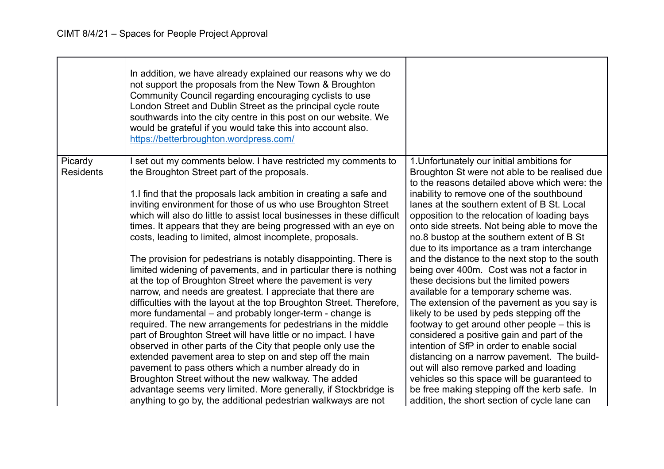|                             | In addition, we have already explained our reasons why we do<br>not support the proposals from the New Town & Broughton<br>Community Council regarding encouraging cyclists to use<br>London Street and Dublin Street as the principal cycle route<br>southwards into the city centre in this post on our website. We<br>would be grateful if you would take this into account also.<br>https://betterbroughton.wordpress.com/ |                                                                                                                                              |
|-----------------------------|--------------------------------------------------------------------------------------------------------------------------------------------------------------------------------------------------------------------------------------------------------------------------------------------------------------------------------------------------------------------------------------------------------------------------------|----------------------------------------------------------------------------------------------------------------------------------------------|
| Picardy<br><b>Residents</b> | set out my comments below. I have restricted my comments to<br>the Broughton Street part of the proposals.                                                                                                                                                                                                                                                                                                                     | 1. Unfortunately our initial ambitions for<br>Broughton St were not able to be realised due<br>to the reasons detailed above which were: the |
|                             | 1. I find that the proposals lack ambition in creating a safe and                                                                                                                                                                                                                                                                                                                                                              | inability to remove one of the southbound                                                                                                    |
|                             | inviting environment for those of us who use Broughton Street<br>which will also do little to assist local businesses in these difficult                                                                                                                                                                                                                                                                                       | lanes at the southern extent of B St. Local<br>opposition to the relocation of loading bays                                                  |
|                             | times. It appears that they are being progressed with an eye on                                                                                                                                                                                                                                                                                                                                                                | onto side streets. Not being able to move the                                                                                                |
|                             | costs, leading to limited, almost incomplete, proposals.                                                                                                                                                                                                                                                                                                                                                                       | no.8 bustop at the southern extent of B St                                                                                                   |
|                             |                                                                                                                                                                                                                                                                                                                                                                                                                                | due to its importance as a tram interchange                                                                                                  |
|                             | The provision for pedestrians is notably disappointing. There is                                                                                                                                                                                                                                                                                                                                                               | and the distance to the next stop to the south                                                                                               |
|                             | limited widening of pavements, and in particular there is nothing<br>at the top of Broughton Street where the pavement is very                                                                                                                                                                                                                                                                                                 | being over 400m. Cost was not a factor in<br>these decisions but the limited powers                                                          |
|                             | narrow, and needs are greatest. I appreciate that there are                                                                                                                                                                                                                                                                                                                                                                    | available for a temporary scheme was.                                                                                                        |
|                             | difficulties with the layout at the top Broughton Street. Therefore,                                                                                                                                                                                                                                                                                                                                                           | The extension of the pavement as you say is                                                                                                  |
|                             | more fundamental - and probably longer-term - change is                                                                                                                                                                                                                                                                                                                                                                        | likely to be used by peds stepping off the                                                                                                   |
|                             | required. The new arrangements for pedestrians in the middle                                                                                                                                                                                                                                                                                                                                                                   | footway to get around other people $-$ this is                                                                                               |
|                             | part of Broughton Street will have little or no impact. I have                                                                                                                                                                                                                                                                                                                                                                 | considered a positive gain and part of the                                                                                                   |
|                             | observed in other parts of the City that people only use the                                                                                                                                                                                                                                                                                                                                                                   | intention of SfP in order to enable social                                                                                                   |
|                             | extended pavement area to step on and step off the main                                                                                                                                                                                                                                                                                                                                                                        | distancing on a narrow pavement. The build-                                                                                                  |
|                             | pavement to pass others which a number already do in<br>Broughton Street without the new walkway. The added                                                                                                                                                                                                                                                                                                                    | out will also remove parked and loading<br>vehicles so this space will be guaranteed to                                                      |
|                             | advantage seems very limited. More generally, if Stockbridge is                                                                                                                                                                                                                                                                                                                                                                | be free making stepping off the kerb safe. In                                                                                                |
|                             | anything to go by, the additional pedestrian walkways are not                                                                                                                                                                                                                                                                                                                                                                  | addition, the short section of cycle lane can                                                                                                |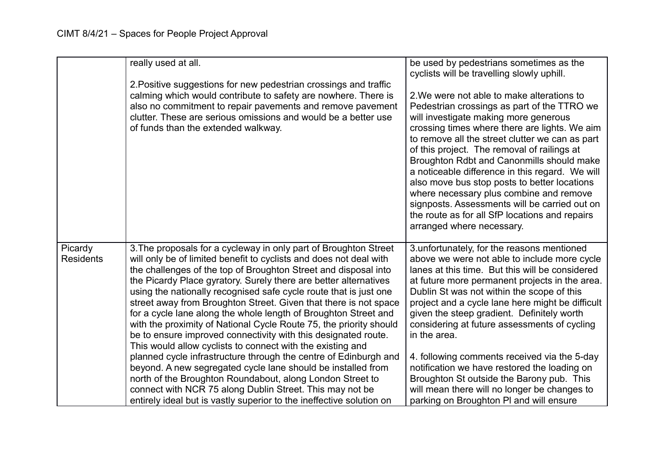|                             | really used at all.                                                                                                                                                                                                                                                                                                                                                                                                                                                                                                                                                                                                                                                                                                                                                                                                                                                                              | be used by pedestrians sometimes as the<br>cyclists will be travelling slowly uphill.                                                                                                                                                                                                                                                                                                                                                                                                                                                                                                                            |
|-----------------------------|--------------------------------------------------------------------------------------------------------------------------------------------------------------------------------------------------------------------------------------------------------------------------------------------------------------------------------------------------------------------------------------------------------------------------------------------------------------------------------------------------------------------------------------------------------------------------------------------------------------------------------------------------------------------------------------------------------------------------------------------------------------------------------------------------------------------------------------------------------------------------------------------------|------------------------------------------------------------------------------------------------------------------------------------------------------------------------------------------------------------------------------------------------------------------------------------------------------------------------------------------------------------------------------------------------------------------------------------------------------------------------------------------------------------------------------------------------------------------------------------------------------------------|
|                             | 2. Positive suggestions for new pedestrian crossings and traffic<br>calming which would contribute to safety are nowhere. There is<br>also no commitment to repair pavements and remove pavement<br>clutter. These are serious omissions and would be a better use<br>of funds than the extended walkway.                                                                                                                                                                                                                                                                                                                                                                                                                                                                                                                                                                                        | 2. We were not able to make alterations to<br>Pedestrian crossings as part of the TTRO we<br>will investigate making more generous<br>crossing times where there are lights. We aim<br>to remove all the street clutter we can as part<br>of this project. The removal of railings at<br>Broughton Rdbt and Canonmills should make<br>a noticeable difference in this regard. We will<br>also move bus stop posts to better locations<br>where necessary plus combine and remove<br>signposts. Assessments will be carried out on<br>the route as for all SfP locations and repairs<br>arranged where necessary. |
| Picardy<br><b>Residents</b> | 3. The proposals for a cycleway in only part of Broughton Street<br>will only be of limited benefit to cyclists and does not deal with<br>the challenges of the top of Broughton Street and disposal into<br>the Picardy Place gyratory. Surely there are better alternatives<br>using the nationally recognised safe cycle route that is just one<br>street away from Broughton Street. Given that there is not space<br>for a cycle lane along the whole length of Broughton Street and<br>with the proximity of National Cycle Route 75, the priority should<br>be to ensure improved connectivity with this designated route.<br>This would allow cyclists to connect with the existing and<br>planned cycle infrastructure through the centre of Edinburgh and<br>beyond. A new segregated cycle lane should be installed from<br>north of the Broughton Roundabout, along London Street to | 3. unfortunately, for the reasons mentioned<br>above we were not able to include more cycle<br>lanes at this time. But this will be considered<br>at future more permanent projects in the area.<br>Dublin St was not within the scope of this<br>project and a cycle lane here might be difficult<br>given the steep gradient. Definitely worth<br>considering at future assessments of cycling<br>in the area.<br>4. following comments received via the 5-day<br>notification we have restored the loading on<br>Broughton St outside the Barony pub. This                                                    |
|                             | connect with NCR 75 along Dublin Street. This may not be<br>entirely ideal but is vastly superior to the ineffective solution on                                                                                                                                                                                                                                                                                                                                                                                                                                                                                                                                                                                                                                                                                                                                                                 | will mean there will no longer be changes to<br>parking on Broughton PI and will ensure                                                                                                                                                                                                                                                                                                                                                                                                                                                                                                                          |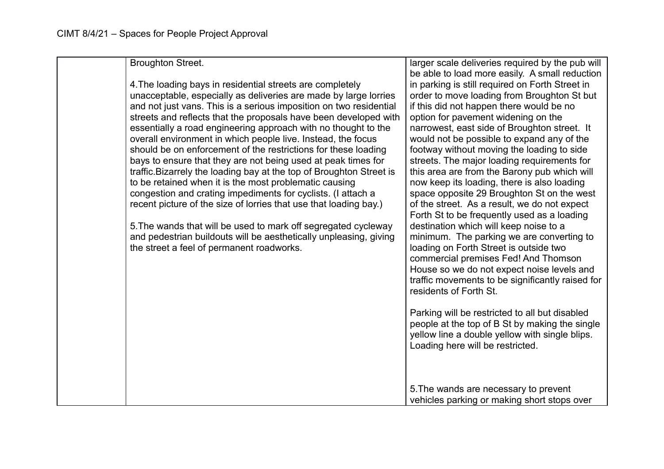Broughton Street.

4.The loading bays in residential streets are completely unacceptable, especially as deliveries are made by large lorries and not just vans. This is a serious imposition on two residential streets and reflects that the proposals have been developed with essentially a road engineering approach with no thought to the overall environment in which people live. Instead, the focus should be on enforcement of the restrictions for these loading bays to ensure that they are not being used at peak times for traffic.Bizarrely the loading bay at the top of Broughton Street is to be retained when it is the most problematic causing congestion and crating impediments for cyclists. (I attach a recent picture of the size of lorries that use that loading bay.)

5.The wands that will be used to mark off segregated cycleway and pedestrian buildouts will be aesthetically unpleasing, giving the street a feel of permanent roadworks.

larger scale deliveries required by the pub will be able to load more easily. A small reduction in parking is still required on Forth Street in order to move loading from Broughton St but if this did not happen there would be no option for pavement widening on the narrowest, east side of Broughton street. It would not be possible to expand any of the footway without moving the loading to side streets. The major loading requirements for this area are from the Barony pub which will now keep its loading, there is also loading space opposite 29 Broughton St on the west of the street. As a result, we do not expect Forth St to be frequently used as a loading destination which will keep noise to a minimum. The parking we are converting to loading on Forth Street is outside two commercial premises Fed! And Thomson House so we do not expect noise levels and traffic movements to be significantly raised for residents of Forth St.

Parking will be restricted to all but disabled people at the top of B St by making the single yellow line a double yellow with single blips. Loading here will be restricted.

5.The wands are necessary to prevent vehicles parking or making short stops over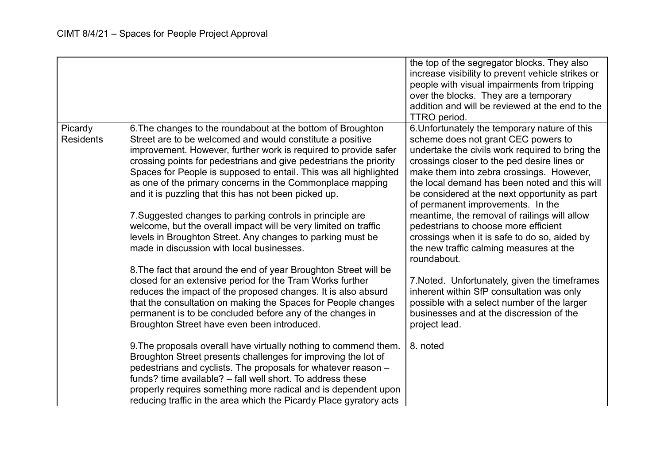|                             |                                                                                                                                                                                                                                                                                                                                                                                                                                                            | the top of the segregator blocks. They also<br>increase visibility to prevent vehicle strikes or<br>people with visual impairments from tripping<br>over the blocks. They are a temporary<br>addition and will be reviewed at the end to the<br>TTRO period.                                                                                                              |
|-----------------------------|------------------------------------------------------------------------------------------------------------------------------------------------------------------------------------------------------------------------------------------------------------------------------------------------------------------------------------------------------------------------------------------------------------------------------------------------------------|---------------------------------------------------------------------------------------------------------------------------------------------------------------------------------------------------------------------------------------------------------------------------------------------------------------------------------------------------------------------------|
| Picardy<br><b>Residents</b> | 6. The changes to the roundabout at the bottom of Broughton<br>Street are to be welcomed and would constitute a positive<br>improvement. However, further work is required to provide safer<br>crossing points for pedestrians and give pedestrians the priority<br>Spaces for People is supposed to entail. This was all highlighted<br>as one of the primary concerns in the Commonplace mapping<br>and it is puzzling that this has not been picked up. | 6. Unfortunately the temporary nature of this<br>scheme does not grant CEC powers to<br>undertake the civils work required to bring the<br>crossings closer to the ped desire lines or<br>make them into zebra crossings. However,<br>the local demand has been noted and this will<br>be considered at the next opportunity as part<br>of permanent improvements. In the |
|                             | 7. Suggested changes to parking controls in principle are<br>welcome, but the overall impact will be very limited on traffic<br>levels in Broughton Street. Any changes to parking must be<br>made in discussion with local businesses.<br>8. The fact that around the end of year Broughton Street will be                                                                                                                                                | meantime, the removal of railings will allow<br>pedestrians to choose more efficient<br>crossings when it is safe to do so, aided by<br>the new traffic calming measures at the<br>roundabout.                                                                                                                                                                            |
|                             | closed for an extensive period for the Tram Works further<br>reduces the impact of the proposed changes. It is also absurd<br>that the consultation on making the Spaces for People changes<br>permanent is to be concluded before any of the changes in<br>Broughton Street have even been introduced.                                                                                                                                                    | 7. Noted. Unfortunately, given the timeframes<br>inherent within SfP consultation was only<br>possible with a select number of the larger<br>businesses and at the discression of the<br>project lead.                                                                                                                                                                    |
|                             | 9. The proposals overall have virtually nothing to commend them.<br>Broughton Street presents challenges for improving the lot of<br>pedestrians and cyclists. The proposals for whatever reason -<br>funds? time available? – fall well short. To address these<br>properly requires something more radical and is dependent upon<br>reducing traffic in the area which the Picardy Place gyratory acts                                                   | 8. noted                                                                                                                                                                                                                                                                                                                                                                  |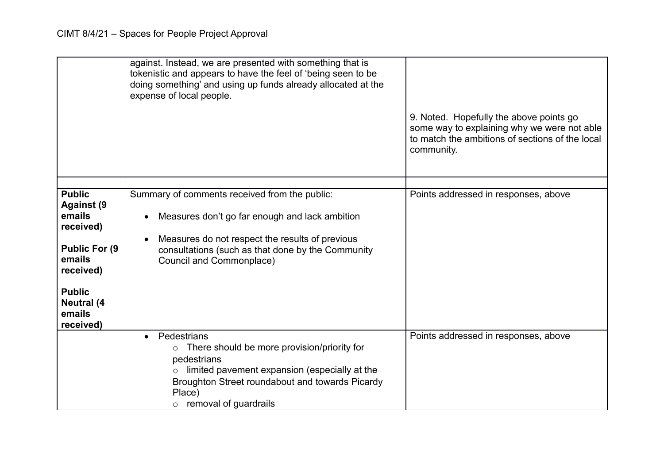|                                                                                                                                                                        | against. Instead, we are presented with something that is<br>tokenistic and appears to have the feel of 'being seen to be<br>doing something' and using up funds already allocated at the<br>expense of local people.                          | 9. Noted. Hopefully the above points go<br>some way to explaining why we were not able<br>to match the ambitions of sections of the local<br>community. |
|------------------------------------------------------------------------------------------------------------------------------------------------------------------------|------------------------------------------------------------------------------------------------------------------------------------------------------------------------------------------------------------------------------------------------|---------------------------------------------------------------------------------------------------------------------------------------------------------|
| <b>Public</b><br><b>Against (9</b><br>emails<br>received)<br><b>Public For (9)</b><br>emails<br>received)<br><b>Public</b><br><b>Neutral</b> (4<br>emails<br>received) | Summary of comments received from the public:<br>Measures don't go far enough and lack ambition<br>Measures do not respect the results of previous<br>consultations (such as that done by the Community<br>Council and Commonplace)            | Points addressed in responses, above                                                                                                                    |
|                                                                                                                                                                        | Pedestrians<br>There should be more provision/priority for<br>$\circ$<br>pedestrians<br>limited pavement expansion (especially at the<br>$\circ$<br>Broughton Street roundabout and towards Picardy<br>Place)<br>$\circ$ removal of guardrails | Points addressed in responses, above                                                                                                                    |